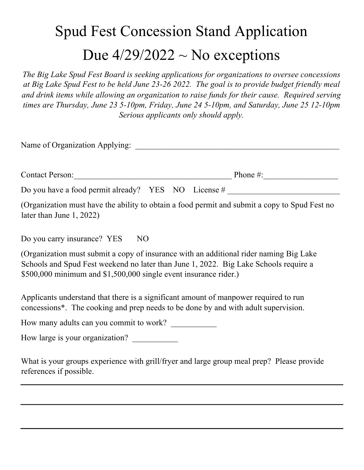## Spud Fest Concession Stand Application Due  $4/29/2022 \sim$  No exceptions

*The Big Lake Spud Fest Board is seeking applications for organizations to oversee concessions at Big Lake Spud Fest to be held June 23-26 2022. The goal is to provide budget friendly meal and drink items while allowing an organization to raise funds for their cause. Required serving times are Thursday, June 23 5-10pm, Friday, June 24 5-10pm, and Saturday, June 25 12-10pm Serious applicants only should apply.* 

| Name of Organization Applying:                                                                                               |              |
|------------------------------------------------------------------------------------------------------------------------------|--------------|
| <b>Contact Person:</b>                                                                                                       | Phone $\#$ : |
| Do you have a food permit already? YES NO License #                                                                          |              |
| (Organization must have the ability to obtain a food permit and submit a copy to Spud Fest no<br>later than June $1, 2022$ ) |              |

Do you carry insurance? YES NO

(Organization must submit a copy of insurance with an additional rider naming Big Lake Schools and Spud Fest weekend no later than June 1, 2022. Big Lake Schools require a \$500,000 minimum and \$1,500,000 single event insurance rider.)

Applicants understand that there is a significant amount of manpower required to run concessions\*. The cooking and prep needs to be done by and with adult supervision.

How many adults can you commit to work?

How large is your organization?

What is your groups experience with grill/fryer and large group meal prep? Please provide references if possible.